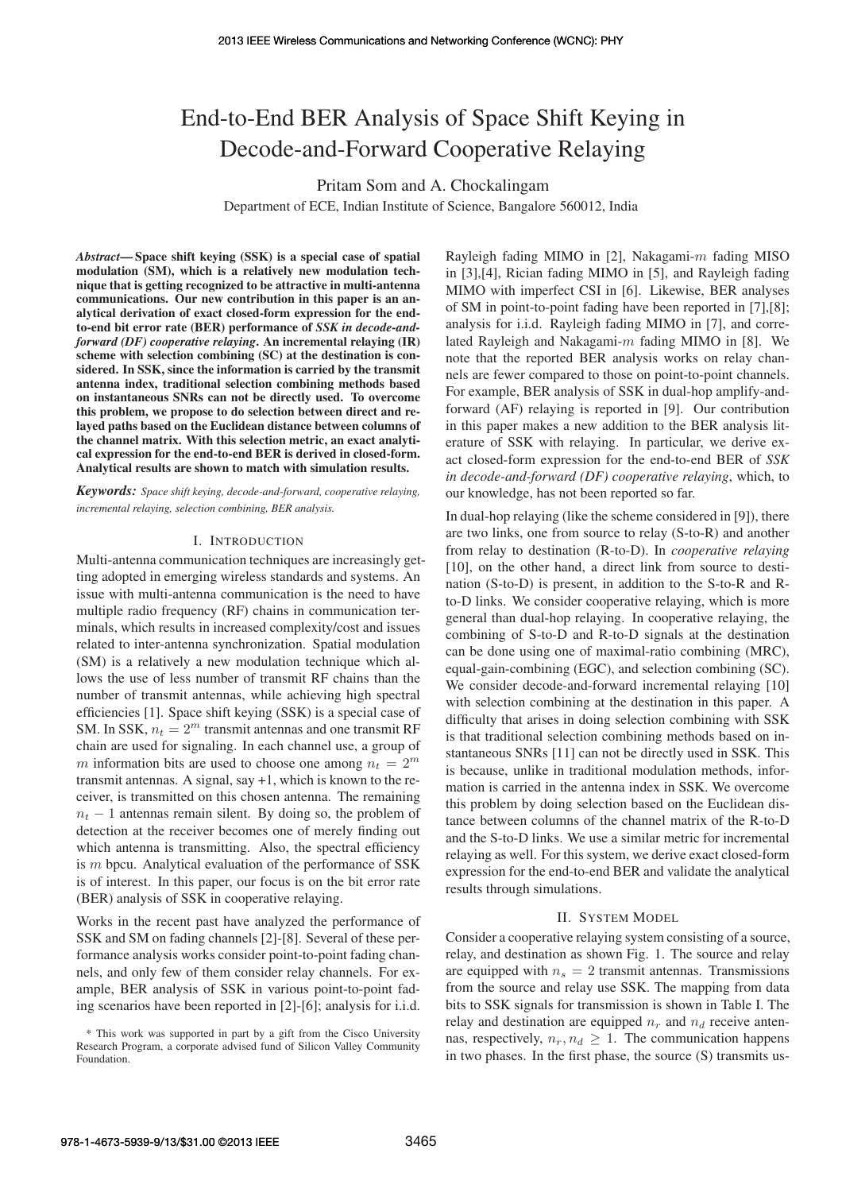# End-to-End BER Analysis of Space Shift Keying in Decode-and-Forward Cooperative Relaying

Pritam Som and A. Chockalingam

Department of ECE, Indian Institute of Science, Bangalore 560012, India

*Abstract*— Space shift keying (SSK) is a special case of spatial modulation (SM), which is a relatively new modulation technique that is getting recognized to be attractive in multi-antenna communications. Our new contribution in this paper is an analytical derivation of exact closed-form expression for the endto-end bit error rate (BER) performance of *SSK in decode-andforward (DF) cooperative relaying*. An incremental relaying (IR) scheme with selection combining (SC) at the destination is considered. In SSK, since the information is carried by the transmit antenna index, traditional selection combining methods based on instantaneous SNRs can not be directly used. To overcome this problem, we propose to do selection between direct and relayed paths based on the Euclidean distance between columns of the channel matrix. With this selection metric, an exact analytical expression for the end-to-end BER is derived in closed-form. Analytical results are shown to match with simulation results.

*Keywords: Space shift keying, decode-and-forward, cooperative relaying, incremental relaying, selection combining, BER analysis.*

#### I. INTRODUCTION

Multi-antenna communication techniques are increasingly getting adopted in emerging wireless standards and systems. An issue with multi-antenna communication is the need to have multiple radio frequency (RF) chains in communication terminals, which results in increased complexity/cost and issues related to inter-antenna synchronization. Spatial modulation (SM) is a relatively a new modulation technique which allows the use of less number of transmit RF chains than the number of transmit antennas, while achieving high spectral efficiencies [1]. Space shift keying (SSK) is a special case of SM. In SSK,  $n_t = 2^m$  transmit antennas and one transmit RF chain are used for signaling. In each channel use, a group of m information bits are used to choose one among  $n_t = 2^m$ transmit antennas. A signal, say +1, which is known to the receiver, is transmitted on this chosen antenna. The remaining  $n_t$  − 1 antennas remain silent. By doing so, the problem of detection at the receiver becomes one of merely finding out which antenna is transmitting. Also, the spectral efficiency is m bpcu. Analytical evaluation of the performance of SSK is of interest. In this paper, our focus is on the bit error rate (BER) analysis of SSK in cooperative relaying.

Works in the recent past have analyzed the performance of SSK and SM on fading channels [2]-[8]. Several of these performance analysis works consider point-to-point fading channels, and only few of them consider relay channels. For example, BER analysis of SSK in various point-to-point fading scenarios have been reported in [2]-[6]; analysis for i.i.d.

Rayleigh fading MIMO in [2], Nakagami- $m$  fading MISO in [3],[4], Rician fading MIMO in [5], and Rayleigh fading MIMO with imperfect CSI in [6]. Likewise, BER analyses of SM in point-to-point fading have been reported in [7],[8]; analysis for i.i.d. Rayleigh fading MIMO in [7], and correlated Rayleigh and Nakagami-m fading MIMO in [8]. We note that the reported BER analysis works on relay channels are fewer compared to those on point-to-point channels. For example, BER analysis of SSK in dual-hop amplify-andforward (AF) relaying is reported in [9]. Our contribution in this paper makes a new addition to the BER analysis literature of SSK with relaying. In particular, we derive exact closed-form expression for the end-to-end BER of *SSK in decode-and-forward (DF) cooperative relaying*, which, to our knowledge, has not been reported so far.

In dual-hop relaying (like the scheme considered in [9]), there are two links, one from source to relay (S-to-R) and another from relay to destination (R-to-D). In *cooperative relaying* [10], on the other hand, a direct link from source to destination (S-to-D) is present, in addition to the S-to-R and Rto-D links. We consider cooperative relaying, which is more general than dual-hop relaying. In cooperative relaying, the combining of S-to-D and R-to-D signals at the destination can be done using one of maximal-ratio combining (MRC), equal-gain-combining (EGC), and selection combining (SC). We consider decode-and-forward incremental relaying [10] with selection combining at the destination in this paper. A difficulty that arises in doing selection combining with SSK is that traditional selection combining methods based on instantaneous SNRs [11] can not be directly used in SSK. This is because, unlike in traditional modulation methods, information is carried in the antenna index in SSK. We overcome this problem by doing selection based on the Euclidean distance between columns of the channel matrix of the R-to-D and the S-to-D links. We use a similar metric for incremental relaying as well. For this system, we derive exact closed-form expression for the end-to-end BER and validate the analytical results through simulations.

#### II. SYSTEM MODEL

Consider a cooperative relaying system consisting of a source, relay, and destination as shown Fig. 1. The source and relay are equipped with  $n<sub>s</sub> = 2$  transmit antennas. Transmissions from the source and relay use SSK. The mapping from data bits to SSK signals for transmission is shown in Table I. The relay and destination are equipped  $n_r$  and  $n_d$  receive antennas, respectively,  $n_r, n_d \geq 1$ . The communication happens in two phases. In the first phase, the source (S) transmits us-

<sup>\*</sup> This work was supported in part by a gift from the Cisco University Research Program, a corporate advised fund of Silicon Valley Community Foundation.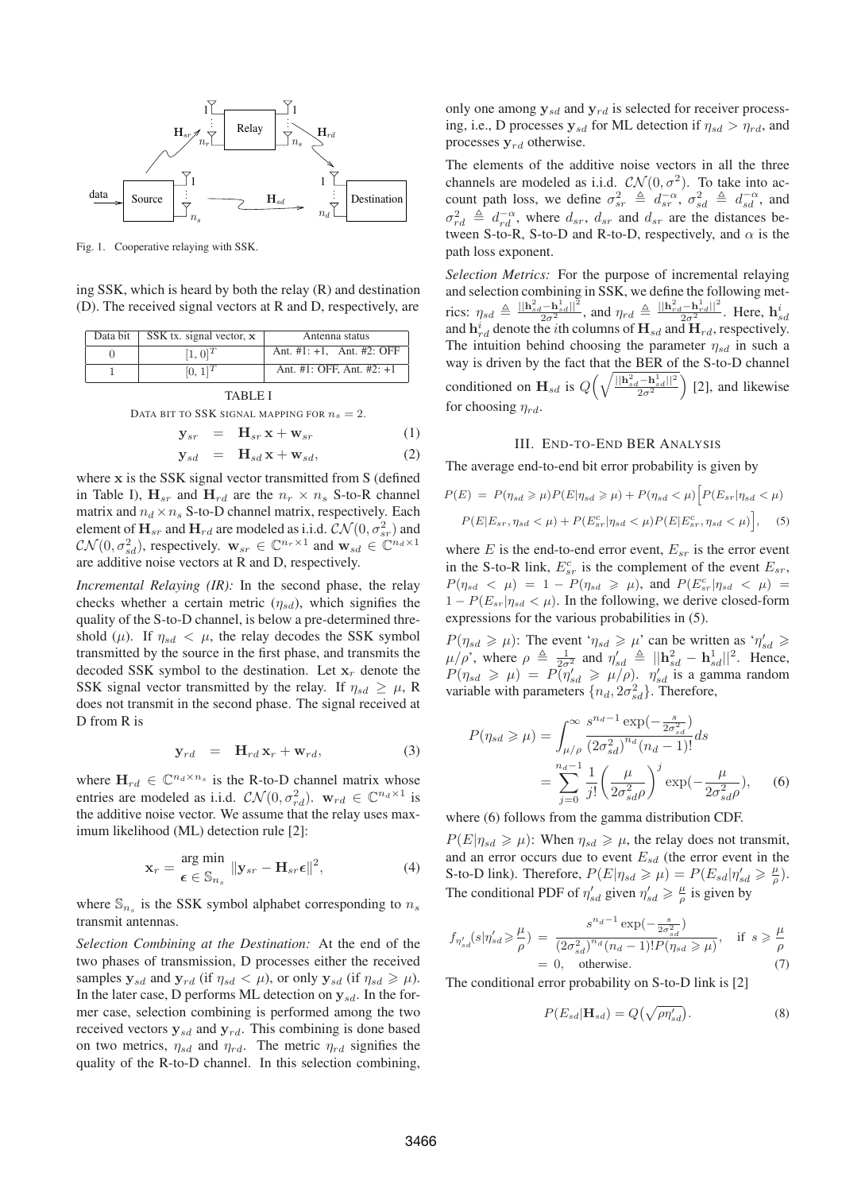

Fig. 1. Cooperative relaying with SSK.

ing SSK, which is heard by both the relay (R) and destination (D). The received signal vectors at R and D, respectively, are

| Ant. $\#1$ : $+1$ , Ant. $\#2$ : OFF<br>$[1, 0]^{T}$<br>Ant. #1: OFF, Ant. #2: $+1$<br>$[0, 1]^{T}$ | Data bit | SSK tx. signal vector, $x$ | Antenna status |
|-----------------------------------------------------------------------------------------------------|----------|----------------------------|----------------|
|                                                                                                     |          |                            |                |
|                                                                                                     |          |                            |                |

TABLE I

DATA BIT TO SSK SIGNAL MAPPING FOR  $n_s = 2$ .

$$
\mathbf{y}_{sr} = \mathbf{H}_{sr} \mathbf{x} + \mathbf{w}_{sr} \tag{1}
$$

$$
\mathbf{y}_{sd} = \mathbf{H}_{sd} \mathbf{x} + \mathbf{w}_{sd}, \tag{2}
$$

where x is the SSK signal vector transmitted from S (defined in Table I),  $\mathbf{H}_{sr}$  and  $\mathbf{H}_{rd}$  are the  $n_r \times n_s$  S-to-R channel matrix and  $n_d\times n_s$  S-to-D channel matrix, respectively. Each element of  $\mathbf{H}_{sr}$  and  $\mathbf{H}_{rd}$  are modeled as i.i.d.  $\mathcal{CN}(0, \sigma_{sr}^2)$  and  $CN(0, \sigma_{sd}^2)$ , respectively.  $\mathbf{w}_{sr} \in \mathbb{C}^{n_r \times 1}$  and  $\mathbf{w}_{sd} \in \mathbb{C}^{n_d \times 1}$ are additive noise vectors at R and D, respectively.

*Incremental Relaying (IR):* In the second phase, the relay checks whether a certain metric  $(\eta_{sd})$ , which signifies the quality of the S-to-D channel, is below a pre-determined threshold ( $\mu$ ). If  $\eta_{sd} < \mu$ , the relay decodes the SSK symbol transmitted by the source in the first phase, and transmits the decoded SSK symbol to the destination. Let  $x_r$  denote the SSK signal vector transmitted by the relay. If  $\eta_{sd} \geq \mu$ , R does not transmit in the second phase. The signal received at D from R is

$$
\mathbf{y}_{rd} = \mathbf{H}_{rd} \mathbf{x}_r + \mathbf{w}_{rd}, \tag{3}
$$

where  $\mathbf{H}_{rd} \in \mathbb{C}^{n_d \times n_s}$  is the R-to-D channel matrix whose entries are modeled as i.i.d.  $CN(0, \sigma_{rd}^2)$ .  $\mathbf{w}_{rd} \in \mathbb{C}^{n_d \times 1}$  is the additive noise vector. We assume that the relay uses maximum likelihood (ML) detection rule [2]:

$$
\mathbf{x}_r = \frac{\text{arg min}}{\boldsymbol{\epsilon} \in \mathbb{S}_{n_s}} \|\mathbf{y}_{sr} - \mathbf{H}_{sr} \boldsymbol{\epsilon}\|^2, \tag{4}
$$

where  $\mathbb{S}_{n_s}$  is the SSK symbol alphabet corresponding to  $n_s$ transmit antennas.

*Selection Combining at the Destination:* At the end of the two phases of transmission, D processes either the received samples  $y_{sd}$  and  $y_{rd}$  (if  $\eta_{sd} < \mu$ ), or only  $y_{sd}$  (if  $\eta_{sd} \geq \mu$ ). In the later case, D performs ML detection on  $y_{sd}$ . In the former case, selection combining is performed among the two received vectors  $y_{sd}$  and  $y_{rd}$ . This combining is done based on two metrics,  $\eta_{sd}$  and  $\eta_{rd}$ . The metric  $\eta_{rd}$  signifies the quality of the R-to-D channel. In this selection combining, only one among  $y_{sd}$  and  $y_{rd}$  is selected for receiver processing, i.e., D processes  $y_{sd}$  for ML detection if  $\eta_{sd} > \eta_{rd}$ , and processes  $y_{rd}$  otherwise.

The elements of the additive noise vectors in all the three channels are modeled as i.i.d.  $CN(0, \sigma^2)$ . To take into account path loss, we define  $\sigma_{sr}^2 \triangleq d_{sr}^{-\alpha}$ ,  $\sigma_{sd}^2 \triangleq d_{sd}^{-\alpha}$ , and  $\sigma_{rd}^2 \triangleq d_{rd}^{-\alpha}$ , where  $d_{sr}$ ,  $d_{sr}$  and  $d_{sr}$  are the distances between S-to-R, S-to-D and R-to-D, respectively, and  $\alpha$  is the path loss exponent.

*Selection Metrics:* For the purpose of incremental relaying and selection combining in SSK, we define the following metrics:  $\eta_{sd} \triangleq \frac{||\mathbf{h}_{sd}^2 - \mathbf{h}_{sd}^1||^2}{2\sigma^2}$ , and  $\eta_{rd} \triangleq \frac{||\mathbf{h}_{rd}^2 - \mathbf{h}_{rd}^1||^2}{2\sigma^2}$ . Here,  $\mathbf{h}_{sd}^i$ and  $\mathbf{h}_{rd}^i$  denote the *i*th columns of  $\mathbf{H}_{sd}$  and  $\mathbf{H}_{rd}$ , respectively. The intuition behind choosing the parameter  $\eta_{sd}$  in such a way is driven by the fact that the BER of the S-to-D channel conditioned on  $H_{sd}$  is  $Q\left(\sqrt{\frac{||\mathbf{h}^2_{sd}-\mathbf{h}^1_{sd}||^2}{2\sigma^2}}\right)$ [2], and likewise for choosing  $\eta_{rd}$ .

#### III. END-TO-END BER ANALYSIS

The average end-to-end bit error probability is given by

$$
P(E) = P(\eta_{sd} \ge \mu)P(E|\eta_{sd} \ge \mu) + P(\eta_{sd} < \mu) \Big[ P(E_{sr}|\eta_{sd} < \mu) - P(E|E_{sr}, \eta_{sd} < \mu) + P(E_{sr}^c|\eta_{sd} < \mu)P(E|E_{sr}^c, \eta_{sd} < \mu) \Big], \quad (5)
$$

where  $E$  is the end-to-end error event,  $E_{sr}$  is the error event in the S-to-R link,  $E_{sr}^c$  is the complement of the event  $E_{sr}$ ,  $P(\eta_{sd} < \mu) = 1 - P(\eta_{sd} \ge \mu)$ , and  $P(E_{sr}^c | \eta_{sd} < \mu) =$  $1 - P(E_{sr}|\eta_{sd} < \mu)$ . In the following, we derive closed-form expressions for the various probabilities in (5).

 $P(\eta_{sd} \ge \mu)$ : The event ' $\eta_{sd} \ge \mu$ ' can be written as ' $\eta'_{sd} \ge$  $\mu/\rho'$ , where  $\rho \triangleq \frac{1}{2\sigma^2}$  and  $\eta'_{sd} \triangleq ||\mathbf{h}_{sd}^2 - \mathbf{h}_{sd}^1||^2$ . Hence,  $P(\eta_{sd} \ge \mu) = P(\eta'_{sd} \ge \mu/\rho)$ .  $\eta'_{sd}$  is a gamma random variable with parameters  $\{n_d, 2\sigma_{sd}^2\}$ . Therefore,

$$
P(\eta_{sd} \ge \mu) = \int_{\mu/\rho}^{\infty} \frac{s^{n_d - 1} \exp(-\frac{s}{2\sigma_{sd}^2})}{(2\sigma_{sd}^2)^{n_d} (n_d - 1)!} ds
$$
  
= 
$$
\sum_{j=0}^{n_d - 1} \frac{1}{j!} \left(\frac{\mu}{2\sigma_{sd}^2 \rho}\right)^j \exp(-\frac{\mu}{2\sigma_{sd}^2 \rho}), \quad (6)
$$

where (6) follows from the gamma distribution CDF.

 $P(E|\eta_{sd} \geq \mu)$ : When  $\eta_{sd} \geq \mu$ , the relay does not transmit, and an error occurs due to event  $E_{sd}$  (the error event in the S-to-D link). Therefore,  $P(E|\eta_{sd} \ge \mu) = P(E_{sd}|\eta'_{sd} \ge \frac{\mu}{\rho})$ . The conditional PDF of  $\eta'_{sd}$  given  $\eta'_{sd} \ge \frac{\mu}{\rho}$  is given by

$$
f_{\eta'_{sd}}(s|\eta'_{sd} \ge \frac{\mu}{\rho}) = \frac{s^{n_d - 1} \exp(-\frac{s}{2\sigma_{sd}^2})}{(2\sigma_{sd}^2)^{n_d}(n_d - 1)! P(\eta_{sd} \ge \mu)}, \quad \text{if } s \ge \frac{\mu}{\rho}
$$
  
= 0, otherwise. (7)

The conditional error probability on S-to-D link is [2]

$$
P(E_{sd}|\mathbf{H}_{sd}) = Q(\sqrt{\rho \eta'_{sd}}). \tag{8}
$$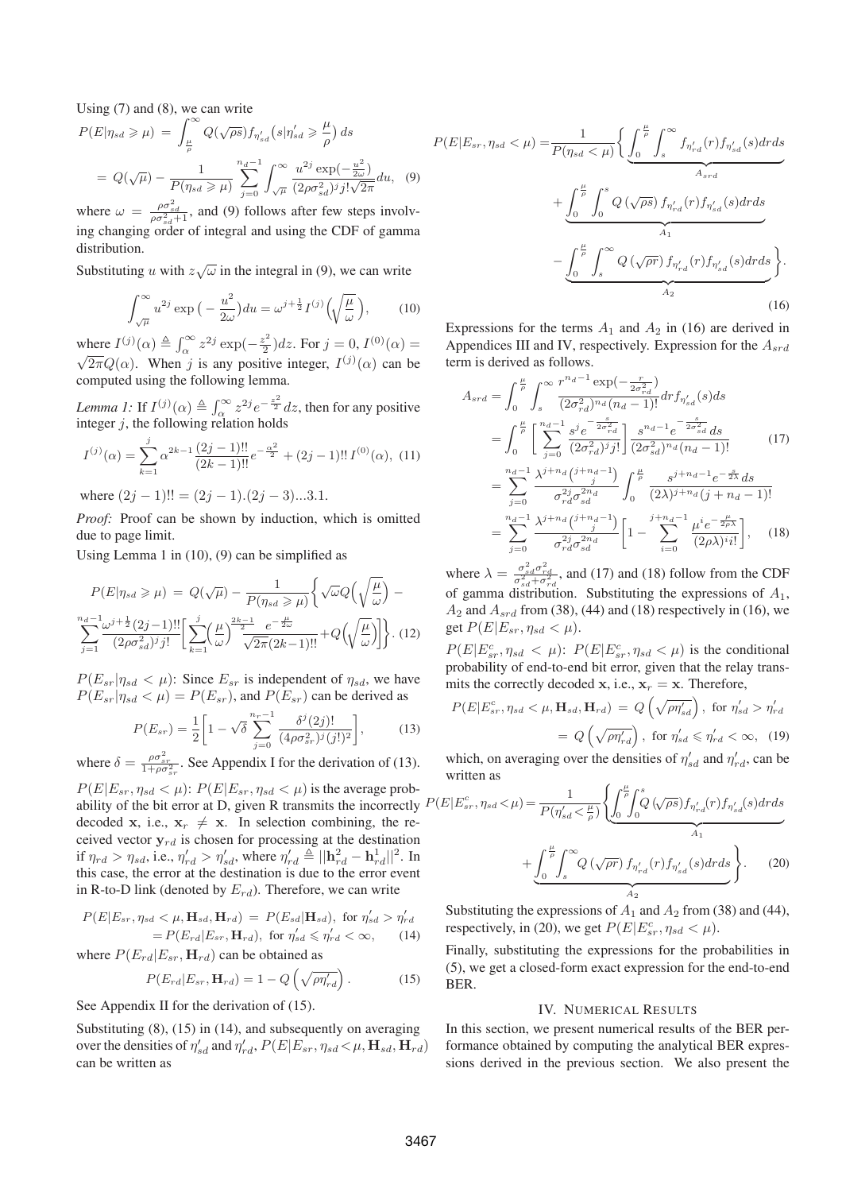Using  $(7)$  and  $(8)$ , we can write

$$
P(E|\eta_{sd} \ge \mu) = \int_{\frac{\mu}{\rho}}^{\infty} Q(\sqrt{\rho s}) f_{\eta'_{sd}}(s|\eta'_{sd} \ge \frac{\mu}{\rho}) ds
$$
  
=  $Q(\sqrt{\mu}) - \frac{1}{P(\eta_{sd} \ge \mu)} \sum_{j=0}^{n_d-1} \int_{\sqrt{\mu}}^{\infty} \frac{u^{2j} \exp(-\frac{u^2}{2\omega})}{(2\rho \sigma_{sd}^2)^j j! \sqrt{2\pi}} du$ , (9)

where  $\omega = \frac{\rho \sigma_{sd}^2}{\rho \sigma_{sd}^2 + 1}$ , and (9) follows after few steps involving changing order of integral and using the CDF of gamma distribution.

Substituting u with  $z\sqrt{\omega}$  in the integral in (9), we can write

$$
\int_{\sqrt{\mu}}^{\infty} u^{2j} \exp\left(-\frac{u^2}{2\omega}\right) du = \omega^{j+\frac{1}{2}} I^{(j)}\left(\sqrt{\frac{\mu}{\omega}}\right),\tag{10}
$$

where  $I^{(j)}(\alpha) \triangleq \int_{\alpha}^{\infty} z^{2j} \exp(-\frac{z^2}{2})$  $(\frac{z^2}{2})dz$ . For  $j = 0, I^{(0)}(\alpha) =$  $\sqrt{2\pi}Q(\alpha)$ . When j is any positive integer,  $I^{(j)}(\alpha)$  can be computed using the following lemma.

*Lemma 1:* If  $I^{(j)}(\alpha) \triangleq \int_{\alpha}^{\infty} z^{2j} e^{-\frac{z^2}{2}} dz$ , then for any positive integer  $j$ , the following relation holds

$$
I^{(j)}(\alpha) = \sum_{k=1}^{j} \alpha^{2k-1} \frac{(2j-1)!!}{(2k-1)!!} e^{-\frac{\alpha^2}{2}} + (2j-1)!! I^{(0)}(\alpha), \tag{11}
$$

where  $(2j - 1)!! = (2j - 1).(2j - 3)...3.1$ .

*Proof:* Proof can be shown by induction, which is omitted due to page limit.

Using Lemma 1 in (10), (9) can be simplified as

$$
P(E|\eta_{sd} \ge \mu) = Q(\sqrt{\mu}) - \frac{1}{P(\eta_{sd} \ge \mu)} \left\{ \sqrt{\omega} Q\left(\sqrt{\frac{\mu}{\omega}}\right) - \frac{n_d - 1}{2} \omega^{j + \frac{1}{2}} (2j - 1)!! \left[ \sum_{k=1}^j \left(\frac{\mu}{\omega}\right)^{\frac{2k - 1}{2}} \frac{e^{-\frac{\mu}{2\omega}}}{\sqrt{2\pi}(2k - 1)!!} + Q\left(\sqrt{\frac{\mu}{\omega}}\right) \right] \right\}.
$$
 (12)

 $P(E_{sr}|\eta_{sd} < \mu)$ : Since  $E_{sr}$  is independent of  $\eta_{sd}$ , we have  $P(E_{sr}|\eta_{sd} < \mu) = P(E_{sr})$ , and  $P(E_{sr})$  can be derived as

$$
P(E_{sr}) = \frac{1}{2} \left[ 1 - \sqrt{\delta} \sum_{j=0}^{n_r - 1} \frac{\delta^j(2j)!}{(4\rho \sigma_{sr}^2)^j(j!)^2} \right],
$$
 (13)

where  $\delta = \frac{\rho \sigma_{sr}^2}{1 + \rho \sigma_{sr}^2}$ . See Appendix I for the derivation of (13).

 $P(E|E_{sr}, \eta_{sd} < \mu)$ :  $P(E|E_{sr}, \eta_{sd} < \mu)$  is the average probability of the bit error at D, given R transmits the incorrectly  $P(E|E)$ decoded x, i.e.,  $x_r \neq x$ . In selection combining, the received vector  $y_{rd}$  is chosen for processing at the destination if  $\eta_{rd} > \eta_{sd}$ , i.e.,  $\eta'_{rd} > \eta'_{sd}$ , where  $\eta'_{rd} \triangleq ||\mathbf{h}_{rd}^2 - \mathbf{h}_{rd}^1||^2$ . In this case, the error at the destination is due to the error event in R-to-D link (denoted by  $E_{rd}$ ). Therefore, we can write

$$
P(E|E_{sr}, \eta_{sd} < \mu, \mathbf{H}_{sd}, \mathbf{H}_{rd}) = P(E_{sd}|\mathbf{H}_{sd}), \text{ for } \eta'_{sd} > \eta'_{rd}
$$

$$
= P(E_{rd}|E_{sr}, \mathbf{H}_{rd}), \text{ for } \eta'_{sd} \le \eta'_{rd} < \infty, \qquad (14)
$$

where  $P(E_{rd}|E_{sr}, \mathbf{H}_{rd})$  can be obtained as

$$
P(E_{rd}|E_{sr}, \mathbf{H}_{rd}) = 1 - Q\left(\sqrt{\rho \eta'_{rd}}\right). \tag{15}
$$

See Appendix II for the derivation of  $(15)$ .

Substituting  $(8)$ ,  $(15)$  in  $(14)$ , and subsequently on averaging over the densities of  $\eta_{sd}'$  and  $\eta_{rd}', P(E|E_{sr}, \eta_{sd} \leq \mu, \mathbf{H}_{sd}, \mathbf{H}_{rd})$ can be written as

$$
P(E|E_{sr}, \eta_{sd} < \mu) = \frac{1}{P(\eta_{sd} < \mu)} \Biggl\{ \underbrace{\int_{0}^{\frac{\mu}{\rho}} \int_{s}^{\infty} f_{\eta'_{rd}}(r) f_{\eta'_{sd}}(s) dr ds}_{A_{srd}} + \underbrace{\int_{0}^{\frac{\mu}{\rho}} \int_{0}^{s} Q(\sqrt{\rho s}) f_{\eta'_{rd}}(r) f_{\eta'_{sd}}(s) dr ds}_{A_1} - \underbrace{\int_{0}^{\frac{\mu}{\rho}} \int_{s}^{\infty} Q(\sqrt{\rho r}) f_{\eta'_{rd}}(r) f_{\eta'_{sd}}(s) dr ds}_{A_2} \Biggr\}.
$$
\n(16)

Expressions for the terms  $A_1$  and  $A_2$  in (16) are derived in Appendices III and IV, respectively. Expression for the  $A_{srd}$ term is derived as follows.

$$
A_{srd} = \int_{0}^{\frac{\mu}{\rho}} \int_{s}^{\infty} \frac{r^{n_d - 1} \exp(-\frac{r}{2\sigma_{rd}^2})}{(2\sigma_{rd}^2)^{n_d} (n_d - 1)!} dr f_{\eta'_{sd}}(s) ds
$$
  
\n
$$
= \int_{0}^{\frac{\mu}{\rho}} \left[ \sum_{j=0}^{n_d - 1} \frac{s^j e^{-\frac{s}{2\sigma_{rd}^2}}}{(2\sigma_{rd}^2)^j j!} \right] \frac{s^{n_d - 1} e^{-\frac{s}{2\sigma_{sd}^2}} ds}{(2\sigma_{sd}^2)^{n_d} (n_d - 1)!}
$$
  
\n
$$
= \sum_{j=0}^{n_d - 1} \frac{\lambda^{j+n_d} \binom{j+n_d - 1}{j}}{\sigma_{rd}^{2j} \sigma_{sd}^{2n}} \int_{0}^{\frac{\mu}{\rho}} \frac{s^{j+n_d - 1} e^{-\frac{s}{2\lambda}} ds}{(2\lambda)^{j+n_d} (j+n_d - 1)!}
$$
  
\n
$$
= \sum_{j=0}^{n_d - 1} \frac{\lambda^{j+n_d} \binom{j+n_d - 1}{j}}{\sigma_{rd}^{2j} \sigma_{sd}^{2n}} \left[ 1 - \sum_{i=0}^{j+n_d - 1} \frac{\mu^{i} e^{-\frac{\mu}{2\rho \lambda}}}{(2\rho \lambda)^i i!} \right], \quad (18)
$$

where  $\lambda = \frac{\sigma_{sd}^2 \sigma_{rd}^2}{\sigma_{sd}^2 + \sigma_{rd}^2}$ , and (17) and (18) follow from the CDF of gamma distribution. Substituting the expressions of  $A_1$ ,  $A_2$  and  $A_{srd}$  from (38), (44) and (18) respectively in (16), we get  $P(E|E_{sr}, \eta_{sd} < \mu)$ .

 $P(E|E_{sr}^c, \eta_{sd} < \mu)$ :  $P(E|E_{sr}^c, \eta_{sd} < \mu)$  is the conditional probability of end-to-end bit error, given that the relay transmits the correctly decoded x, i.e.,  $x_r = x$ . Therefore,

$$
P(E|E_{sr}^c, \eta_{sd} < \mu, \mathbf{H}_{sd}, \mathbf{H}_{rd}) = Q\left(\sqrt{\rho \eta'_{sd}}\right), \text{ for } \eta'_{sd} > \eta'_{rd}
$$

$$
= Q\left(\sqrt{\rho \eta'_{rd}}\right), \text{ for } \eta'_{sd} \leq \eta'_{rd} < \infty, \quad (19)
$$

which, on averaging over the densities of  $\eta'_{sd}$  and  $\eta'_{rd}$ , can be written as

$$
P(E|E_{sr}^c, \eta_{sd} < \mu) = \frac{1}{P(\eta'_{sd} < \frac{\mu}{\rho})} \left\{ \int_0^{\frac{\mu}{\rho}} \int_0^s Q(\sqrt{\rho s}) f_{\eta'_{rd}}(r) f_{\eta'_{sd}}(s) dr ds + \underbrace{\int_0^{\frac{\mu}{\rho}} \int_s^{\infty} Q(\sqrt{\rho r}) f_{\eta'_{rd}}(r) f_{\eta'_{sd}}(s) dr ds}_{A_2} \right\}.
$$
 (20)

Substituting the expressions of  $A_1$  and  $A_2$  from (38) and (44), respectively, in (20), we get  $P(E|E_{sr}^c, \eta_{sd} < \mu)$ .

Finally, substituting the expressions for the probabilities in (5), we get a closed-form exact expression for the end-to-end BER.

#### IV. NUMERICAL RESULTS

In this section, we present numerical results of the BER performance obtained by computing the analytical BER expressions derived in the previous section. We also present the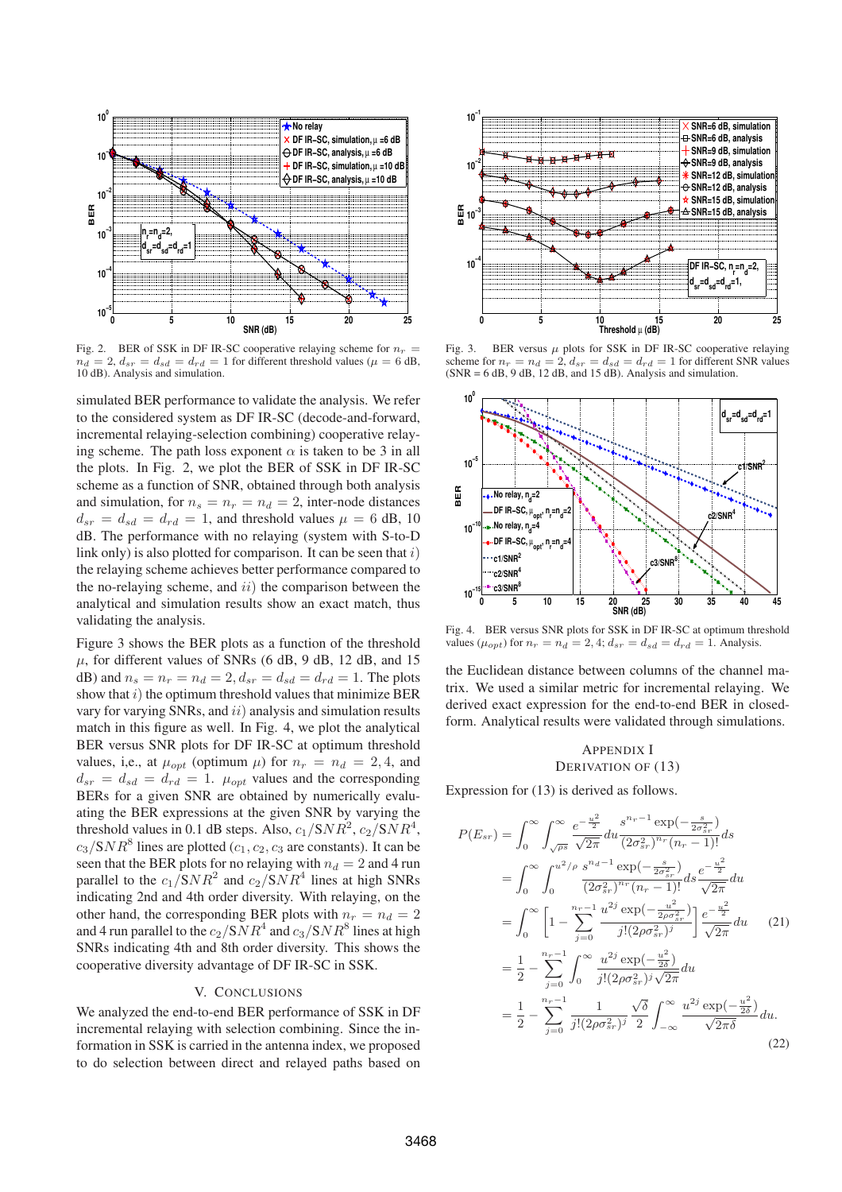

Fig. 2. BER of SSK in DF IR-SC cooperative relaying scheme for  $n_r$  $n_d = 2$ ,  $d_{sr} = d_{sd} = d_{rd} = 1$  for different threshold values ( $\mu = 6$  dB, 10 dB). Analysis and simulation.

simulated BER performance to validate the analysis. We refer to the considered system as DF IR-SC (decode-and-forward, incremental relaying-selection combining) cooperative relaying scheme. The path loss exponent  $\alpha$  is taken to be 3 in all the plots. In Fig. 2, we plot the BER of SSK in DF IR-SC scheme as a function of SNR, obtained through both analysis and simulation, for  $n_s = n_r = n_d = 2$ , inter-node distances  $d_{sr} = d_{sd} = d_{rd} = 1$ , and threshold values  $\mu = 6$  dB, 10 dB. The performance with no relaying (system with S-to-D link only) is also plotted for comparison. It can be seen that  $i$ the relaying scheme achieves better performance compared to the no-relaying scheme, and  $ii)$  the comparison between the analytical and simulation results show an exact match, thus validating the analysis.

Figure 3 shows the BER plots as a function of the threshold  $\mu$ , for different values of SNRs (6 dB, 9 dB, 12 dB, and 15 dB) and  $n_s = n_r = n_d = 2$ ,  $d_{sr} = d_{sd} = d_{rd} = 1$ . The plots show that  $i)$  the optimum threshold values that minimize BER vary for varying SNRs, and  $ii$ ) analysis and simulation results match in this figure as well. In Fig. 4, we plot the analytical BER versus SNR plots for DF IR-SC at optimum threshold values, i,e., at  $\mu_{opt}$  (optimum  $\mu$ ) for  $n_r = n_d = 2, 4$ , and  $d_{sr} = d_{sd} = d_{rd} = 1$ .  $\mu_{opt}$  values and the corresponding BERs for a given SNR are obtained by numerically evaluating the BER expressions at the given SNR by varying the threshold values in 0.1 dB steps. Also,  $c_1/SNR^2$ ,  $c_2/SNR^4$ ,  $c_3/SNR^8$  lines are plotted ( $c_1, c_2, c_3$  are constants). It can be seen that the BER plots for no relaying with  $n_d = 2$  and 4 run parallel to the  $c_1/SNR^2$  and  $c_2/SNR^4$  lines at high SNRs indicating 2nd and 4th order diversity. With relaying, on the other hand, the corresponding BER plots with  $n_r = n_d = 2$ and 4 run parallel to the  $c_2/ {\mathsf SNR}^4$  and  $c_3/ {\mathsf SNR}^8$  lines at high SNRs indicating 4th and 8th order diversity. This shows the cooperative diversity advantage of DF IR-SC in SSK.

#### V. CONCLUSIONS

We analyzed the end-to-end BER performance of SSK in DF incremental relaying with selection combining. Since the information in SSK is carried in the antenna index, we proposed to do selection between direct and relayed paths based on



Fig. 3. BER versus  $\mu$  plots for SSK in DF IR-SC cooperative relaying scheme for  $n_r = n_d = 2$ ,  $d_{sr} = d_{sd} = d_{rd} = 1$  for different SNR values  $(SNR = 6 dB, 9 dB, 12 dB, and 15 dB)$ . Analysis and simulation.



Fig. 4. BER versus SNR plots for SSK in DF IR-SC at optimum threshold values ( $\mu_{opt}$ ) for  $n_r = n_d = 2, 4$ ;  $d_{sr} = d_{sd} = d_{rd} = 1$ . Analysis.

the Euclidean distance between columns of the channel matrix. We used a similar metric for incremental relaying. We derived exact expression for the end-to-end BER in closedform. Analytical results were validated through simulations.

# APPENDIX I DERIVATION OF (13)

Expression for (13) is derived as follows.

$$
P(E_{sr}) = \int_0^\infty \int_{\sqrt{\rho s}}^\infty \frac{e^{-\frac{u^2}{2}}}{\sqrt{2\pi}} du \frac{s^{n_r - 1} \exp(-\frac{s}{2\sigma_{sr}^2})}{(2\sigma_{sr}^2)^{n_r} (n_r - 1)!} ds
$$
  
\n
$$
= \int_0^\infty \int_0^{u^2/\rho} \frac{s^{n_d - 1} \exp(-\frac{s}{2\sigma_{sr}^2})}{(2\sigma_{sr}^2)^{n_r} (n_r - 1)!} ds \frac{e^{-\frac{u^2}{2}}}{\sqrt{2\pi}} du
$$
  
\n
$$
= \int_0^\infty \left[1 - \sum_{j=0}^{n_r - 1} \frac{u^{2j} \exp(-\frac{u^2}{2\rho \sigma_{sr}^2})}{j!(2\rho \sigma_{sr}^2)^j}\right] \frac{e^{-\frac{u^2}{2}}}{\sqrt{2\pi}} du \qquad (21)
$$
  
\n
$$
= \frac{1}{2} - \sum_{j=0}^{n_r - 1} \int_0^\infty \frac{u^{2j} \exp(-\frac{u^2}{2\delta})}{j!(2\rho \sigma_{sr}^2)^j \sqrt{2\pi}} du
$$
  
\n
$$
= \frac{1}{2} - \sum_{j=0}^{n_r - 1} \frac{1}{j!(2\rho \sigma_{sr}^2)^j} \frac{\sqrt{\delta}}{2} \int_{-\infty}^\infty \frac{u^{2j} \exp(-\frac{u^2}{2\delta})}{\sqrt{2\pi\delta}} du.
$$
  
\n(22)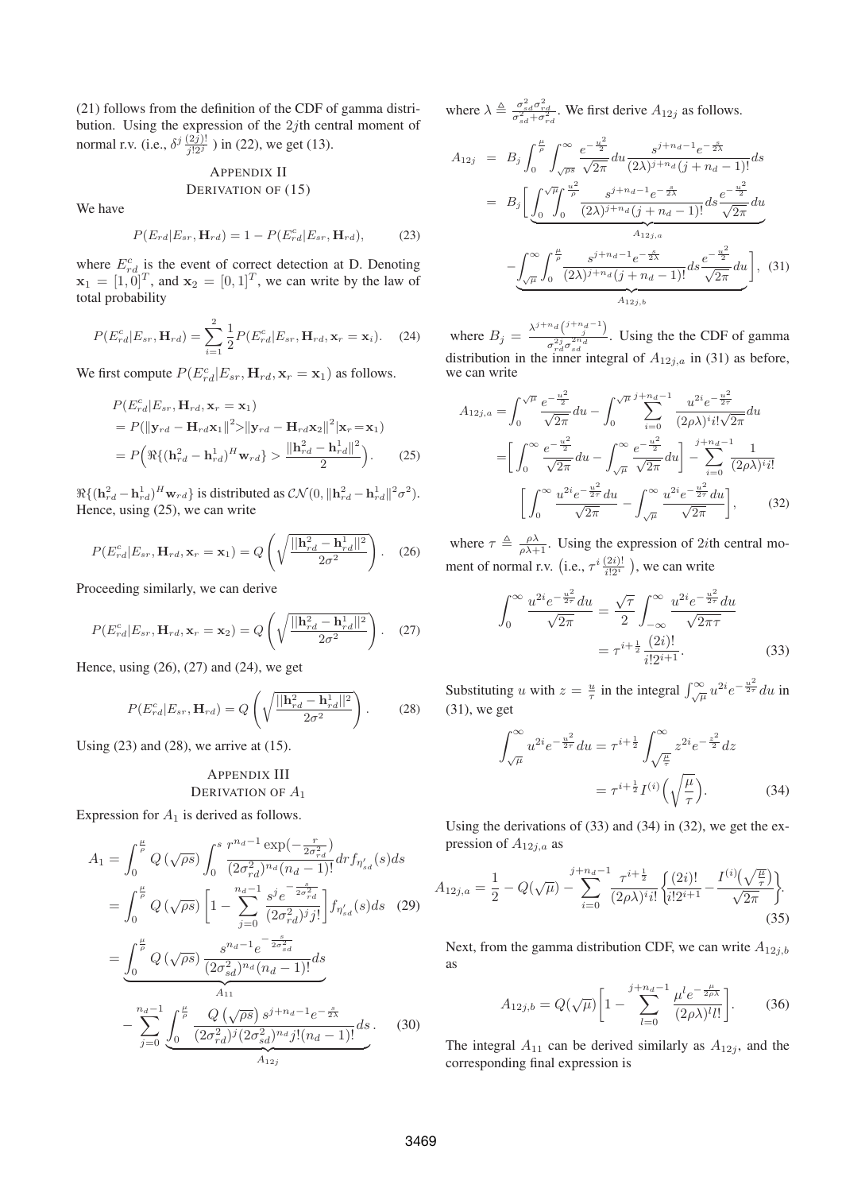(21) follows from the definition of the CDF of gamma distribution. Using the expression of the  $2j$ th central moment of normal r.v. (i.e.,  $\delta^j \frac{(2j)!}{j!2^j}$ ) in (22), we get (13).

# APPENDIX II DERIVATION OF  $(15)$

We have

$$
P(E_{rd}|E_{sr}, \mathbf{H}_{rd}) = 1 - P(E_{rd}^c|E_{sr}, \mathbf{H}_{rd}), \tag{23}
$$

where  $E_{rd}^c$  is the event of correct detection at D. Denoting  $\mathbf{x}_1 = [1, 0]^T$ , and  $\mathbf{x}_2 = [0, 1]^T$ , we can write by the law of total probability

$$
P(E_{rd}^c|E_{sr}, \mathbf{H}_{rd}) = \sum_{i=1}^2 \frac{1}{2} P(E_{rd}^c|E_{sr}, \mathbf{H}_{rd}, \mathbf{x}_r = \mathbf{x}_i).
$$
 (24)

We first compute  $P(E_{rd}^c|E_{sr}, \mathbf{H}_{rd}, \mathbf{x}_r = \mathbf{x}_1)$  as follows.

$$
P(E_{rd}^c|E_{sr}, \mathbf{H}_{rd}, \mathbf{x}_r = \mathbf{x}_1)
$$
  
=  $P(||\mathbf{y}_{rd} - \mathbf{H}_{rd}\mathbf{x}_1||^2 > ||\mathbf{y}_{rd} - \mathbf{H}_{rd}\mathbf{x}_2||^2|\mathbf{x}_r = \mathbf{x}_1)$   
=  $P(\Re\{(\mathbf{h}_{rd}^2 - \mathbf{h}_{rd}^1)^H \mathbf{w}_{rd}\} > \frac{\|\mathbf{h}_{rd}^2 - \mathbf{h}_{rd}^1\|^2}{2}).$  (25)

 $\Re\{(\mathbf{h}_{rd}^2 - \mathbf{h}_{rd}^1)^H \mathbf{w}_{rd}\}\$  is distributed as  $\mathcal{CN}(0, \|\mathbf{h}_{rd}^2 - \mathbf{h}_{rd}^1\|^2 \sigma^2)$ . Hence, using (25), we can write

$$
P(E_{rd}^c|E_{sr}, \mathbf{H}_{rd}, \mathbf{x}_r = \mathbf{x}_1) = Q\left(\sqrt{\frac{||\mathbf{h}_{rd}^2 - \mathbf{h}_{rd}^1||^2}{2\sigma^2}}\right).
$$
 (26)

Proceeding similarly, we can derive

$$
P(E_{rd}^c|E_{sr}, \mathbf{H}_{rd}, \mathbf{x}_r = \mathbf{x}_2) = Q\left(\sqrt{\frac{||\mathbf{h}_{rd}^2 - \mathbf{h}_{rd}^1||^2}{2\sigma^2}}\right).
$$
 (27)

Hence, using (26), (27) and (24), we get

$$
P(E_{rd}^c|E_{sr}, \mathbf{H}_{rd}) = Q\left(\sqrt{\frac{||\mathbf{h}_{rd}^2 - \mathbf{h}_{rd}^1||^2}{2\sigma^2}}\right).
$$
 (28)

Using  $(23)$  and  $(28)$ , we arrive at  $(15)$ .

# APPENDIX III DERIVATION OF  $A_1$

Expression for  $A_1$  is derived as follows.

$$
A_{1} = \int_{0}^{\frac{\mu}{\rho}} Q(\sqrt{\rho s}) \int_{0}^{s} \frac{r^{n_d - 1} \exp(-\frac{r}{2\sigma_{rd}^{2}})}{(2\sigma_{rd}^{2})^{n_d} (n_d - 1)!} dr f_{\eta'_{sd}}(s) ds
$$
  
\n
$$
= \int_{0}^{\frac{\mu}{\rho}} Q(\sqrt{\rho s}) \left[1 - \sum_{j=0}^{n_d - 1} \frac{s^{j} e^{-\frac{s}{2\sigma_{rd}^{2}}}}{(2\sigma_{rd}^{2})^{j} j!} \right] f_{\eta'_{sd}}(s) ds \quad (29)
$$
  
\n
$$
= \underbrace{\int_{0}^{\frac{\mu}{\rho}} Q(\sqrt{\rho s}) \frac{s^{n_d - 1} e^{-\frac{s}{2\sigma_{sd}^{2}}}}{(2\sigma_{sd}^{2})^{n_d} (n_d - 1)!} ds}_{A_{11}}
$$
  
\n
$$
- \sum_{j=0}^{n_d - 1} \underbrace{\int_{0}^{\frac{\mu}{\rho}} \frac{Q(\sqrt{\rho s}) s^{j + n_d - 1} e^{-\frac{s}{2\lambda}}}{(2\sigma_{rd}^{2})^{j} (2\sigma_{sd}^{2})^{n_d} j! (n_d - 1)!} ds}_{A_{12j}}.
$$
 (30)

where  $\lambda \triangleq \frac{\sigma_{sd}^2 \sigma_{rd}^2}{\sigma_{sd}^2 + \sigma_{rd}^2}$ . We first derive  $A_{12j}$  as follows.

$$
A_{12j} = B_j \int_0^{\frac{\mu}{\rho}} \int_{\sqrt{\rho s}}^{\infty} \frac{e^{-\frac{u^2}{2}}}{\sqrt{2\pi}} du \frac{s^{j+n_d-1}e^{-\frac{s}{2\lambda}}}{(2\lambda)^{j+n_d}(j+n_d-1)!} ds
$$
  
\n
$$
= B_j \left[ \underbrace{\int_0^{\sqrt{\mu}} \int_0^{\frac{u^2}{\rho}} \frac{s^{j+n_d-1}e^{-\frac{s}{2\lambda}}}{(2\lambda)^{j+n_d}(j+n_d-1)!} ds \frac{e^{-\frac{u^2}{2}}}{\sqrt{2\pi}} du}_{A_{12j,a}} \right]
$$
  
\n
$$
- \underbrace{\int_{\sqrt{\mu}}^{\infty} \int_0^{\frac{\mu}{\rho}} \frac{s^{j+n_d-1}e^{-\frac{s}{2\lambda}}}{(2\lambda)^{j+n_d}(j+n_d-1)!} ds \frac{e^{-\frac{u^2}{2}}}{\sqrt{2\pi}} du}_{A_{12j,b}} \right], \quad (31)
$$

where  $B_j = \frac{\lambda^{j+n} d \binom{j+n_d-1}{j}}{z^{2j} z^{2n_d}}$  $\frac{1}{\sigma_{rd}^{2j}\sigma_{sd}^{2n}d}$ . Using the the CDF of gamma distribution in the inner integral of  $A_{12j,a}$  in (31) as before, we can write

$$
A_{12j,a} = \int_0^{\sqrt{\mu}} \frac{e^{-\frac{u^2}{2}}}{\sqrt{2\pi}} du - \int_0^{\sqrt{\mu}} \sum_{i=0}^{j+n_d-1} \frac{u^{2i} e^{-\frac{u^2}{2\tau}}}{(2\rho\lambda)^i i! \sqrt{2\pi}} du
$$
  
= 
$$
\left[ \int_0^{\infty} \frac{e^{-\frac{u^2}{2}}}{\sqrt{2\pi}} du - \int_{\sqrt{\mu}}^{\infty} \frac{e^{-\frac{u^2}{2}}}{\sqrt{2\pi}} du \right] - \sum_{i=0}^{j+n_d-1} \frac{1}{(2\rho\lambda)^i i!}
$$
  

$$
\left[ \int_0^{\infty} \frac{u^{2i} e^{-\frac{u^2}{2\tau}} du}{\sqrt{2\pi}} - \int_{\sqrt{\mu}}^{\infty} \frac{u^{2i} e^{-\frac{u^2}{2\tau}} du}{\sqrt{2\pi}} \right],
$$
(32)

where  $\tau \triangleq \frac{\rho \lambda}{\rho \lambda + 1}$ . Using the expression of 2*i*th central moment of normal r.v. (i.e.,  $\tau^i \frac{(2i)!}{i!2^i}$ ), we can write

$$
\int_0^\infty \frac{u^{2i} e^{-\frac{u^2}{2\tau}} du}{\sqrt{2\pi}} = \frac{\sqrt{\tau}}{2} \int_{-\infty}^\infty \frac{u^{2i} e^{-\frac{u^2}{2\tau}} du}{\sqrt{2\pi\tau}}
$$

$$
= \tau^{i + \frac{1}{2}} \frac{(2i)!}{i! 2^{i+1}}.
$$
(33)

Substituting u with  $z = \frac{u}{\tau}$  in the integral  $\int_{\sqrt{\mu}}^{\infty} u^{2i} e^{-\frac{u^2}{2\tau}} du$  in (31), we get

$$
\int_{\sqrt{\mu}}^{\infty} u^{2i} e^{-\frac{u^2}{2\tau}} du = \tau^{i+\frac{1}{2}} \int_{\sqrt{\frac{\mu}{\tau}}}^{\infty} z^{2i} e^{-\frac{z^2}{2}} dz
$$

$$
= \tau^{i+\frac{1}{2}} I^{(i)} \left( \sqrt{\frac{\mu}{\tau}} \right).
$$
(34)

Using the derivations of (33) and (34) in (32), we get the expression of  $A_{12i,a}$  as

$$
A_{12j,a} = \frac{1}{2} - Q(\sqrt{\mu}) - \sum_{i=0}^{j+n_d-1} \frac{\tau^{i+\frac{1}{2}}}{(2\rho\lambda)^i i!} \left\{ \frac{(2i)!}{i!2^{i+1}} - \frac{I^{(i)}(\sqrt{\frac{\mu}{\tau}})}{\sqrt{2\pi}} \right\}.
$$
\n(35)

Next, from the gamma distribution CDF, we can write  $A_{12j,b}$ as

$$
A_{12j,b} = Q(\sqrt{\mu}) \left[ 1 - \sum_{l=0}^{j+n_d-1} \frac{\mu^l e^{-\frac{\mu}{2\rho \lambda}}}{(2\rho \lambda)^l l!} \right].
$$
 (36)

The integral  $A_{11}$  can be derived similarly as  $A_{12j}$ , and the corresponding final expression is